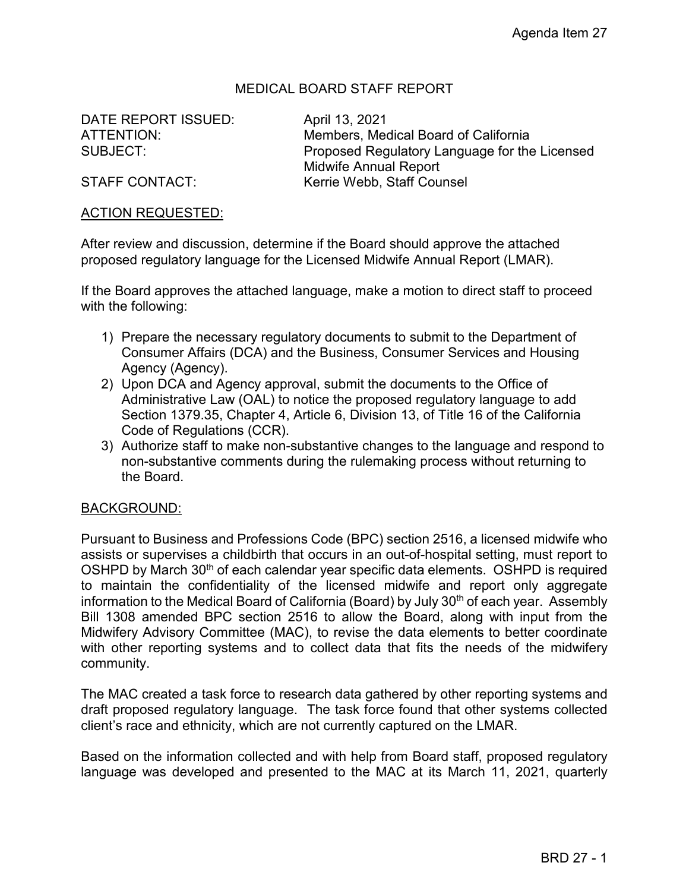## MEDICAL BOARD STAFF REPORT

DATE REPORT ISSUED: April 13, 2021

ATTENTION: Members, Medical Board of California SUBJECT: Proposed Regulatory Language for the Licensed Midwife Annual Report STAFF CONTACT: Kerrie Webb, Staff Counsel

#### ACTION REQUESTED:

After review and discussion, determine if the Board should approve the attached proposed regulatory language for the Licensed Midwife Annual Report (LMAR).

If the Board approves the attached language, make a motion to direct staff to proceed with the following:

- 1) Prepare the necessary regulatory documents to submit to the Department of Consumer Affairs (DCA) and the Business, Consumer Services and Housing Agency (Agency).
- 2) Upon DCA and Agency approval, submit the documents to the Office of Administrative Law (OAL) to notice the proposed regulatory language to add Section 1379.35, Chapter 4, Article 6, Division 13, of Title 16 of the California Code of Regulations (CCR).
- 3) Authorize staff to make non-substantive changes to the language and respond to non-substantive comments during the rulemaking process without returning to the Board.

#### BACKGROUND:

Pursuant to Business and Professions Code (BPC) section 2516, a licensed midwife who assists or supervises a childbirth that occurs in an out-of-hospital setting, must report to OSHPD by March 30<sup>th</sup> of each calendar year specific data elements. OSHPD is required to maintain the confidentiality of the licensed midwife and report only aggregate information to the Medical Board of California (Board) by July 30<sup>th</sup> of each year. Assembly Bill 1308 amended BPC section 2516 to allow the Board, along with input from the Midwifery Advisory Committee (MAC), to revise the data elements to better coordinate with other reporting systems and to collect data that fits the needs of the midwifery community.

The MAC created a task force to research data gathered by other reporting systems and draft proposed regulatory language. The task force found that other systems collected client's race and ethnicity, which are not currently captured on the LMAR.

Based on the information collected and with help from Board staff, proposed regulatory language was developed and presented to the MAC at its March 11, 2021, quarterly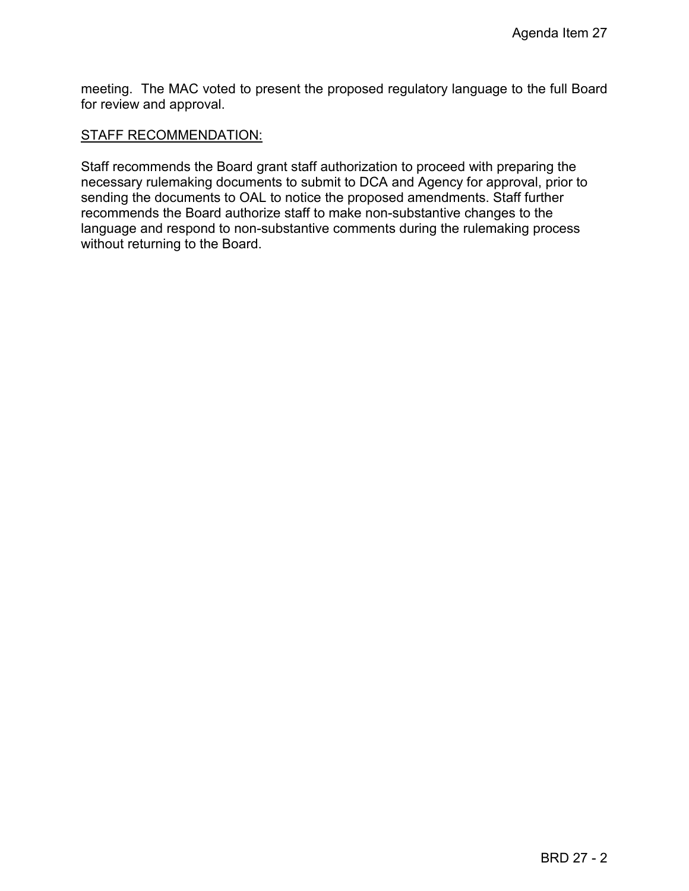meeting. The MAC voted to present the proposed regulatory language to the full Board for review and approval.

#### STAFF RECOMMENDATION:

Staff recommends the Board grant staff authorization to proceed with preparing the necessary rulemaking documents to submit to DCA and Agency for approval, prior to sending the documents to OAL to notice the proposed amendments. Staff further recommends the Board authorize staff to make non-substantive changes to the language and respond to non-substantive comments during the rulemaking process without returning to the Board.